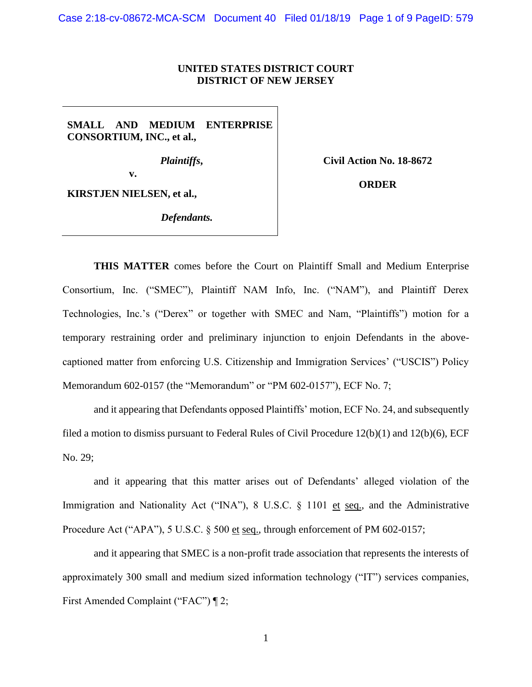## **UNITED STATES DISTRICT COURT DISTRICT OF NEW JERSEY**

**SMALL AND MEDIUM ENTERPRISE CONSORTIUM, INC., et al.,**

*Plaintiffs***,**

**Civil Action No. 18-8672**

**v.**

**KIRSTJEN NIELSEN, et al.,**

*Defendants.*

**ORDER**

**THIS MATTER** comes before the Court on Plaintiff Small and Medium Enterprise Consortium, Inc. ("SMEC"), Plaintiff NAM Info, Inc. ("NAM"), and Plaintiff Derex Technologies, Inc.'s ("Derex" or together with SMEC and Nam, "Plaintiffs") motion for a temporary restraining order and preliminary injunction to enjoin Defendants in the abovecaptioned matter from enforcing U.S. Citizenship and Immigration Services' ("USCIS") Policy Memorandum 602-0157 (the "Memorandum" or "PM 602-0157"), ECF No. 7;

and it appearing that Defendants opposed Plaintiffs' motion, ECF No. 24, and subsequently filed a motion to dismiss pursuant to Federal Rules of Civil Procedure 12(b)(1) and 12(b)(6), ECF No. 29;

and it appearing that this matter arises out of Defendants' alleged violation of the Immigration and Nationality Act ("INA"), 8 U.S.C. § 1101 et seq., and the Administrative Procedure Act ("APA"), 5 U.S.C. § 500 et seq., through enforcement of PM 602-0157;

and it appearing that SMEC is a non-profit trade association that represents the interests of approximately 300 small and medium sized information technology ("IT") services companies, First Amended Complaint ("FAC") ¶ 2;

1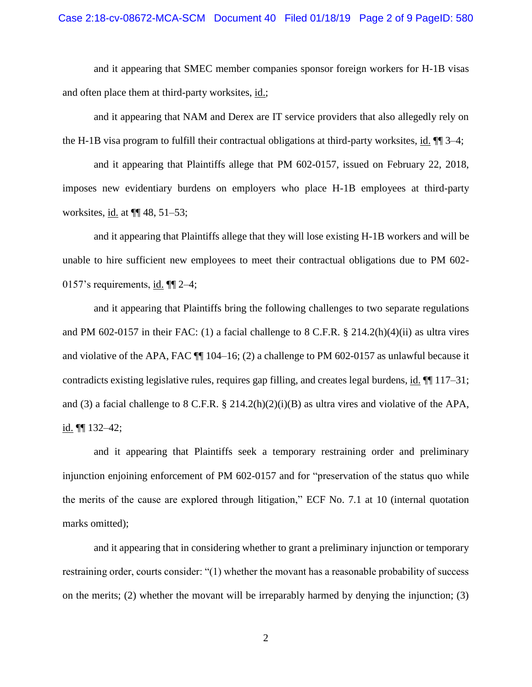and it appearing that SMEC member companies sponsor foreign workers for H-1B visas and often place them at third-party worksites, id.;

and it appearing that NAM and Derex are IT service providers that also allegedly rely on the H-1B visa program to fulfill their contractual obligations at third-party worksites, id. ¶¶ 3–4;

and it appearing that Plaintiffs allege that PM 602-0157, issued on February 22, 2018, imposes new evidentiary burdens on employers who place H-1B employees at third-party worksites, id. at ¶¶ 48, 51–53;

and it appearing that Plaintiffs allege that they will lose existing H-1B workers and will be unable to hire sufficient new employees to meet their contractual obligations due to PM 602- 0157's requirements, id. ¶¶ 2–4;

and it appearing that Plaintiffs bring the following challenges to two separate regulations and PM 602-0157 in their FAC: (1) a facial challenge to 8 C.F.R. § 214.2(h)(4)(ii) as ultra vires and violative of the APA, FAC ¶¶ 104–16; (2) a challenge to PM 602-0157 as unlawful because it contradicts existing legislative rules, requires gap filling, and creates legal burdens, id. ¶¶ 117–31; and (3) a facial challenge to 8 C.F.R. § 214.2(h)(2)(i)(B) as ultra vires and violative of the APA, id. ¶¶ 132–42;

and it appearing that Plaintiffs seek a temporary restraining order and preliminary injunction enjoining enforcement of PM 602-0157 and for "preservation of the status quo while the merits of the cause are explored through litigation," ECF No. 7.1 at 10 (internal quotation marks omitted);

and it appearing that in considering whether to grant a preliminary injunction or temporary restraining order, courts consider: "(1) whether the movant has a reasonable probability of success on the merits; (2) whether the movant will be irreparably harmed by denying the injunction; (3)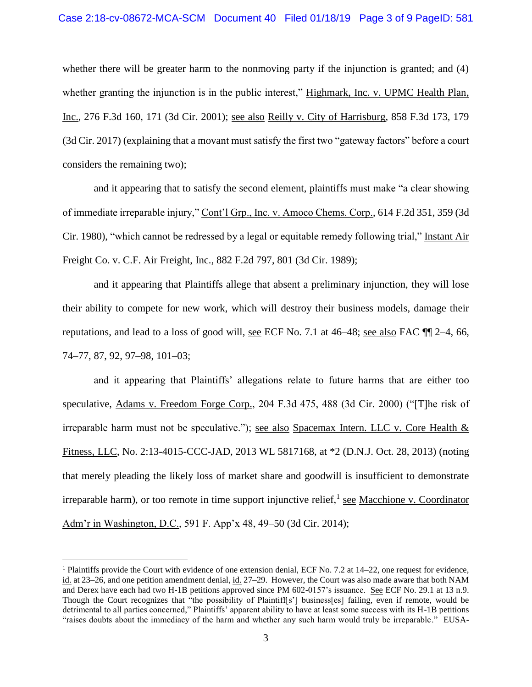whether there will be greater harm to the nonmoving party if the injunction is granted; and (4) whether granting the injunction is in the public interest," Highmark, Inc. v. UPMC Health Plan, Inc., 276 F.3d 160, 171 (3d Cir. 2001); see also Reilly v. City of Harrisburg, 858 F.3d 173, 179 (3d Cir. 2017) (explaining that a movant must satisfy the first two "gateway factors" before a court considers the remaining two);

and it appearing that to satisfy the second element, plaintiffs must make "a clear showing of immediate irreparable injury," Cont'l Grp., Inc. v. Amoco Chems. Corp., 614 F.2d 351, 359 (3d Cir. 1980), "which cannot be redressed by a legal or equitable remedy following trial," Instant Air Freight Co. v. C.F. Air Freight, Inc., 882 F.2d 797, 801 (3d Cir. 1989);

and it appearing that Plaintiffs allege that absent a preliminary injunction, they will lose their ability to compete for new work, which will destroy their business models, damage their reputations, and lead to a loss of good will, see ECF No. 7.1 at 46–48; see also FAC ¶¶ 2–4, 66, 74–77, 87, 92, 97–98, 101–03;

and it appearing that Plaintiffs' allegations relate to future harms that are either too speculative, Adams v. Freedom Forge Corp., 204 F.3d 475, 488 (3d Cir. 2000) ("[T]he risk of irreparable harm must not be speculative."); see also Spacemax Intern. LLC v. Core Health  $\&$ Fitness, LLC, No. 2:13-4015-CCC-JAD, 2013 WL 5817168, at \*2 (D.N.J. Oct. 28, 2013) (noting that merely pleading the likely loss of market share and goodwill is insufficient to demonstrate irreparable harm), or too remote in time support injunctive relief, see Macchione v. Coordinator Adm'r in Washington, D.C., 591 F. App'x 48, 49–50 (3d Cir. 2014);

<sup>1</sup> Plaintiffs provide the Court with evidence of one extension denial, ECF No. 7.2 at 14–22, one request for evidence, id. at 23–26, and one petition amendment denial, id. 27–29. However, the Court was also made aware that both NAM and Derex have each had two H-1B petitions approved since PM 602-0157's issuance. See ECF No. 29.1 at 13 n.9. Though the Court recognizes that "the possibility of Plaintiff[s'] business[es] failing, even if remote, would be detrimental to all parties concerned," Plaintiffs' apparent ability to have at least some success with its H-1B petitions "raises doubts about the immediacy of the harm and whether any such harm would truly be irreparable." EUSA-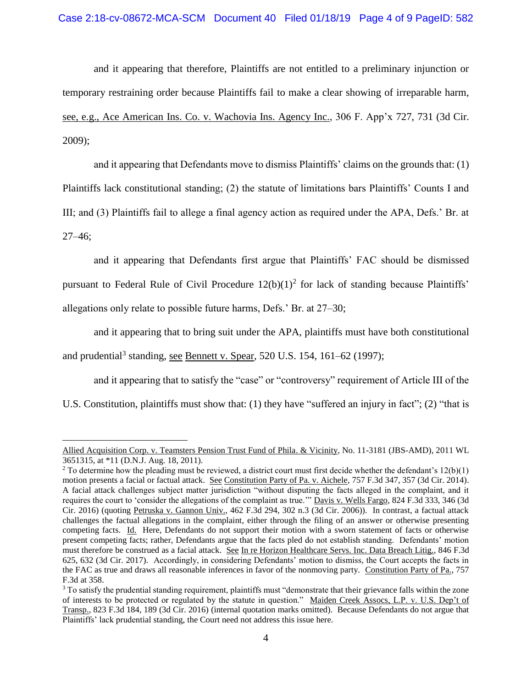and it appearing that therefore, Plaintiffs are not entitled to a preliminary injunction or temporary restraining order because Plaintiffs fail to make a clear showing of irreparable harm, see, e.g., Ace American Ins. Co. v. Wachovia Ins. Agency Inc., 306 F. App'x 727, 731 (3d Cir. 2009);

and it appearing that Defendants move to dismiss Plaintiffs' claims on the grounds that: (1) Plaintiffs lack constitutional standing; (2) the statute of limitations bars Plaintiffs' Counts I and III; and (3) Plaintiffs fail to allege a final agency action as required under the APA, Defs.' Br. at 27–46;

and it appearing that Defendants first argue that Plaintiffs' FAC should be dismissed pursuant to Federal Rule of Civil Procedure  $12(b)(1)^2$  for lack of standing because Plaintiffs' allegations only relate to possible future harms, Defs.' Br. at 27–30;

and it appearing that to bring suit under the APA, plaintiffs must have both constitutional and prudential<sup>3</sup> standing, see Bennett v. Spear, 520 U.S. 154, 161–62 (1997);

and it appearing that to satisfy the "case" or "controversy" requirement of Article III of the U.S. Constitution, plaintiffs must show that: (1) they have "suffered an injury in fact"; (2) "that is

Allied Acquisition Corp. v. Teamsters Pension Trust Fund of Phila. & Vicinity, No. 11-3181 (JBS-AMD), 2011 WL 3651315, at \*11 (D.N.J. Aug. 18, 2011).

<sup>&</sup>lt;sup>2</sup> To determine how the pleading must be reviewed, a district court must first decide whether the defendant's  $12(b)(1)$ motion presents a facial or factual attack. See Constitution Party of Pa. v. Aichele, 757 F.3d 347, 357 (3d Cir. 2014). A facial attack challenges subject matter jurisdiction "without disputing the facts alleged in the complaint, and it requires the court to 'consider the allegations of the complaint as true.'" Davis v. Wells Fargo, 824 F.3d 333, 346 (3d Cir. 2016) (quoting Petruska v. Gannon Univ., 462 F.3d 294, 302 n.3 (3d Cir. 2006)). In contrast, a factual attack challenges the factual allegations in the complaint, either through the filing of an answer or otherwise presenting competing facts. Id. Here, Defendants do not support their motion with a sworn statement of facts or otherwise present competing facts; rather, Defendants argue that the facts pled do not establish standing. Defendants' motion must therefore be construed as a facial attack. See In re Horizon Healthcare Servs. Inc. Data Breach Litig., 846 F.3d 625, 632 (3d Cir. 2017). Accordingly, in considering Defendants' motion to dismiss, the Court accepts the facts in the FAC as true and draws all reasonable inferences in favor of the nonmoving party. Constitution Party of Pa., 757 F.3d at 358.

<sup>&</sup>lt;sup>3</sup> To satisfy the prudential standing requirement, plaintiffs must "demonstrate that their grievance falls within the zone of interests to be protected or regulated by the statute in question." Maiden Creek Assocs, L.P. v. U.S. Dep't of Transp., 823 F.3d 184, 189 (3d Cir. 2016) (internal quotation marks omitted). Because Defendants do not argue that Plaintiffs' lack prudential standing, the Court need not address this issue here.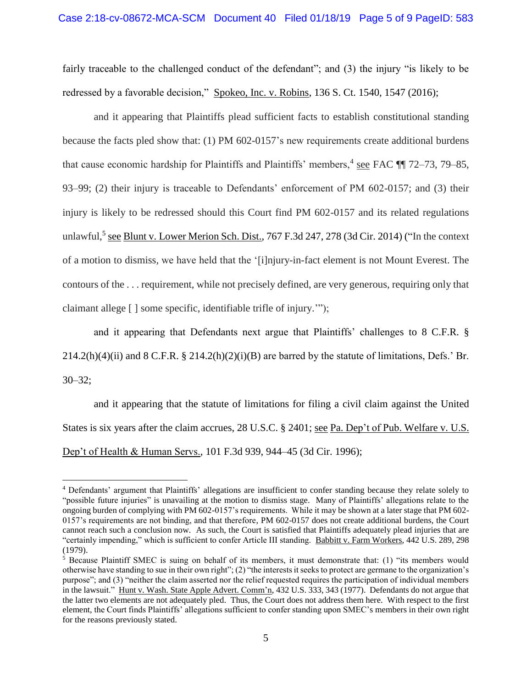fairly traceable to the challenged conduct of the defendant"; and (3) the injury "is likely to be redressed by a favorable decision," Spokeo, Inc. v. Robins, 136 S. Ct. 1540, 1547 (2016);

and it appearing that Plaintiffs plead sufficient facts to establish constitutional standing because the facts pled show that: (1) PM 602-0157's new requirements create additional burdens that cause economic hardship for Plaintiffs and Plaintiffs' members,  $\frac{4}{15}$  see FAC  $\P$  72–73, 79–85, 93–99; (2) their injury is traceable to Defendants' enforcement of PM 602-0157; and (3) their injury is likely to be redressed should this Court find PM 602-0157 and its related regulations unlawful,<sup>5</sup> see Blunt v. Lower Merion Sch. Dist., 767 F.3d 247, 278 (3d Cir. 2014) ("In the context of a motion to dismiss*,* we have held that the '[i]njury-in-fact element is not Mount Everest. The contours of the . . . requirement, while not precisely defined, are very generous, requiring only that claimant allege [ ] some specific, identifiable trifle of injury.'");

and it appearing that Defendants next argue that Plaintiffs' challenges to 8 C.F.R. §  $214.2(h)(4)(ii)$  and  $8$  C.F.R.  $\frac{8}{3}$   $214.2(h)(2)(i)(B)$  are barred by the statute of limitations, Defs.' Br. 30–32;

and it appearing that the statute of limitations for filing a civil claim against the United States is six years after the claim accrues, 28 U.S.C. § 2401; see Pa. Dep't of Pub. Welfare v. U.S. Dep't of Health & Human Servs., 101 F.3d 939, 944–45 (3d Cir. 1996);

<sup>4</sup> Defendants' argument that Plaintiffs' allegations are insufficient to confer standing because they relate solely to "possible future injuries" is unavailing at the motion to dismiss stage. Many of Plaintiffs' allegations relate to the ongoing burden of complying with PM 602-0157's requirements. While it may be shown at a later stage that PM 602- 0157's requirements are not binding, and that therefore, PM 602-0157 does not create additional burdens, the Court cannot reach such a conclusion now. As such, the Court is satisfied that Plaintiffs adequately plead injuries that are "certainly impending," which is sufficient to confer Article III standing. Babbitt v. Farm Workers, 442 U.S. 289, 298 (1979).

<sup>5</sup> Because Plaintiff SMEC is suing on behalf of its members, it must demonstrate that: (1) "its members would otherwise have standing to sue in their own right"; (2) "the interests it seeks to protect are germane to the organization's purpose"; and (3) "neither the claim asserted nor the relief requested requires the participation of individual members in the lawsuit." Hunt v. Wash. State Apple Advert. Comm'n, 432 U.S. 333, 343 (1977). Defendants do not argue that the latter two elements are not adequately pled. Thus, the Court does not address them here. With respect to the first element, the Court finds Plaintiffs' allegations sufficient to confer standing upon SMEC's members in their own right for the reasons previously stated.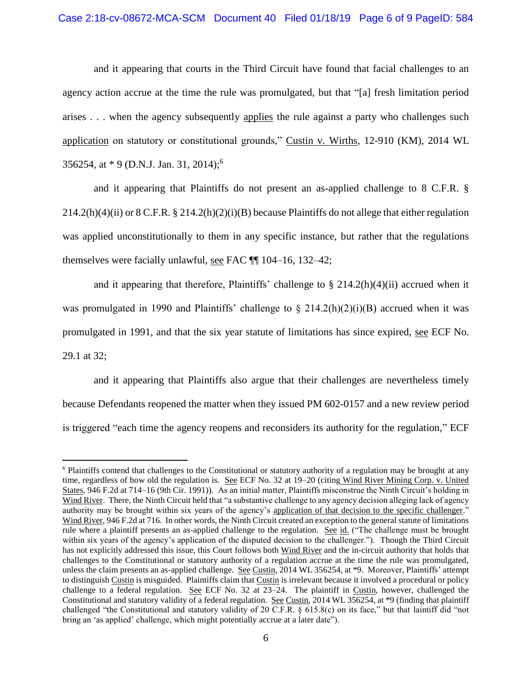## Case 2:18-cv-08672-MCA-SCM Document 40 Filed 01/18/19 Page 6 of 9 PageID: 584

and it appearing that courts in the Third Circuit have found that facial challenges to an agency action accrue at the time the rule was promulgated, but that "[a] fresh limitation period arises . . . when the agency subsequently applies the rule against a party who challenges such application on statutory or constitutional grounds," Custin v. Wirths, 12-910 (KM), 2014 WL 356254, at \* 9 (D.N.J. Jan. 31, 2014); 6

and it appearing that Plaintiffs do not present an as-applied challenge to 8 C.F.R. §  $214.2(h)(4)(ii)$  or 8 C.F.R. §  $214.2(h)(2)(i)(B)$  because Plaintiffs do not allege that either regulation was applied unconstitutionally to them in any specific instance, but rather that the regulations themselves were facially unlawful, see FAC ¶¶ 104–16, 132–42;

and it appearing that therefore, Plaintiffs' challenge to  $\S 214.2(h)(4)(ii)$  accrued when it was promulgated in 1990 and Plaintiffs' challenge to  $\S$  214.2(h)(2)(i)(B) accrued when it was promulgated in 1991, and that the six year statute of limitations has since expired, see ECF No. 29.1 at 32;

and it appearing that Plaintiffs also argue that their challenges are nevertheless timely because Defendants reopened the matter when they issued PM 602-0157 and a new review period is triggered "each time the agency reopens and reconsiders its authority for the regulation," ECF

<sup>&</sup>lt;sup>6</sup> Plaintiffs contend that challenges to the Constitutional or statutory authority of a regulation may be brought at any time, regardless of how old the regulation is. See ECF No. 32 at 19–20 (citing Wind River Mining Corp. v. United States, 946 F.2d at 714–16 (9th Cir. 1991)). As an initial matter, Plaintiffs misconstrue the Ninth Circuit's holding in Wind River. There, the Ninth Circuit held that "a substantive challenge to any agency decision alleging lack of agency authority may be brought within six years of the agency's application of that decision to the specific challenger." Wind River, 946 F.2d at 716. In other words, the Ninth Circuit created an exception to the general statute of limitations rule where a plaintiff presents an as-applied challenge to the regulation. See id. ("The challenge must be brought within six years of the agency's application of the disputed decision to the challenger."). Though the Third Circuit has not explicitly addressed this issue, this Court follows both Wind River and the in-circuit authority that holds that challenges to the Constitutional or statutory authority of a regulation accrue at the time the rule was promulgated, unless the claim presents an as-applied challenge. See Custin, 2014 WL 356254, at \*9. Moreover, Plaintiffs' attempt to distinguish Custin is misguided. Plaintiffs claim that Custin is irrelevant because it involved a procedural or policy challenge to a federal regulation. See ECF No. 32 at 23–24. The plaintiff in Custin, however, challenged the Constitutional and statutory validity of a federal regulation. See Custin, 2014 WL 356254, at \*9 (finding that plaintiff challenged "the Constitutional and statutory validity of 20 C.F.R. § 615.8(c) on its face," but that laintiff did "not bring an 'as applied' challenge, which might potentially accrue at a later date").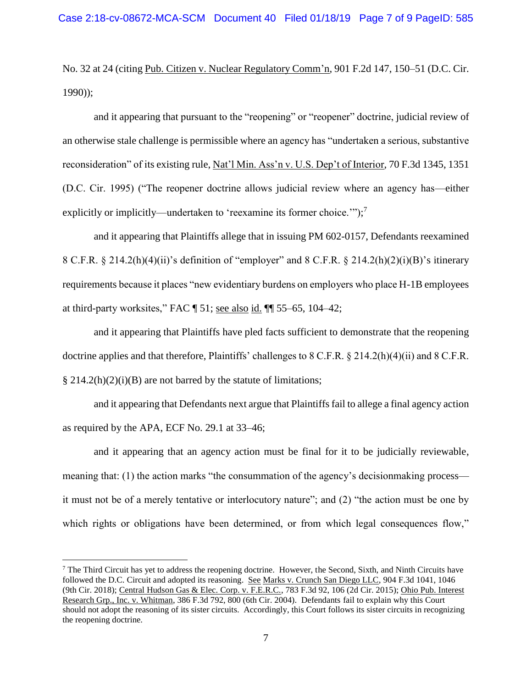No. 32 at 24 (citing Pub. Citizen v. Nuclear Regulatory Comm'n, 901 F.2d 147, 150–51 (D.C. Cir. 1990));

and it appearing that pursuant to the "reopening" or "reopener" doctrine, judicial review of an otherwise stale challenge is permissible where an agency has "undertaken a serious, substantive reconsideration" of its existing rule, Nat'l Min. Ass'n v. U.S. Dep't of Interior, 70 F.3d 1345, 1351 (D.C. Cir. 1995) ("The reopener doctrine allows judicial review where an agency has—either explicitly or implicitly—undertaken to 'reexamine its former choice.'");<sup>7</sup>

and it appearing that Plaintiffs allege that in issuing PM 602-0157, Defendants reexamined 8 C.F.R. § 214.2(h)(4)(ii)'s definition of "employer" and 8 C.F.R. § 214.2(h)(2)(i)(B)'s itinerary requirements because it places "new evidentiary burdens on employers who place H-1B employees at third-party worksites," FAC  $\P$  51; see also id.  $\P$  $\P$  55–65, 104–42;

and it appearing that Plaintiffs have pled facts sufficient to demonstrate that the reopening doctrine applies and that therefore, Plaintiffs' challenges to 8 C.F.R. § 214.2(h)(4)(ii) and 8 C.F.R.  $\S$  214.2(h)(2)(i)(B) are not barred by the statute of limitations;

and it appearing that Defendants next argue that Plaintiffs fail to allege a final agency action as required by the APA, ECF No. 29.1 at 33–46;

and it appearing that an agency action must be final for it to be judicially reviewable, meaning that: (1) the action marks "the consummation of the agency's decisionmaking process it must not be of a merely tentative or interlocutory nature"; and (2) "the action must be one by which rights or obligations have been determined, or from which legal consequences flow,"

<sup>7</sup> The Third Circuit has yet to address the reopening doctrine. However, the Second, Sixth, and Ninth Circuits have followed the D.C. Circuit and adopted its reasoning. See Marks v. Crunch San Diego LLC, 904 F.3d 1041, 1046 (9th Cir. 2018); Central Hudson Gas & Elec. Corp. v. F.E.R.C., 783 F.3d 92, 106 (2d Cir. 2015); Ohio Pub. Interest Research Grp., Inc. v. Whitman, 386 F.3d 792, 800 (6th Cir. 2004). Defendants fail to explain why this Court should not adopt the reasoning of its sister circuits. Accordingly, this Court follows its sister circuits in recognizing the reopening doctrine.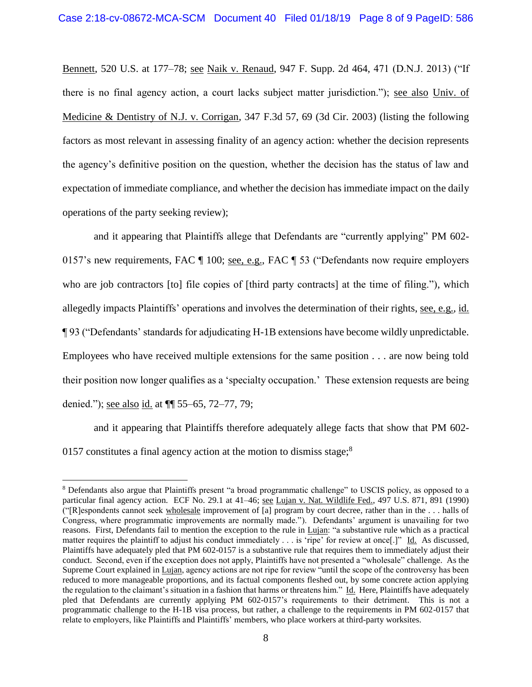Bennett, 520 U.S. at 177–78; see Naik v. Renaud, 947 F. Supp. 2d 464, 471 (D.N.J. 2013) ("If there is no final agency action, a court lacks subject matter jurisdiction."); see also Univ. of Medicine & Dentistry of N.J. v. Corrigan, 347 F.3d 57, 69 (3d Cir. 2003) (listing the following factors as most relevant in assessing finality of an agency action: whether the decision represents the agency's definitive position on the question, whether the decision has the status of law and expectation of immediate compliance, and whether the decision has immediate impact on the daily operations of the party seeking review);

and it appearing that Plaintiffs allege that Defendants are "currently applying" PM 602- 0157's new requirements, FAC ¶ 100; see, e.g., FAC ¶ 53 ("Defendants now require employers who are job contractors [to] file copies of [third party contracts] at the time of filing."), which allegedly impacts Plaintiffs' operations and involves the determination of their rights, see, e.g., id. ¶ 93 ("Defendants' standards for adjudicating H-1B extensions have become wildly unpredictable. Employees who have received multiple extensions for the same position . . . are now being told their position now longer qualifies as a 'specialty occupation.' These extension requests are being denied."); see also id. at ¶¶ 55–65, 72–77, 79;

and it appearing that Plaintiffs therefore adequately allege facts that show that PM 602- 0157 constitutes a final agency action at the motion to dismiss stage;<sup>8</sup>

<sup>8</sup> Defendants also argue that Plaintiffs present "a broad programmatic challenge" to USCIS policy, as opposed to a particular final agency action. ECF No. 29.1 at 41–46; see Lujan v. Nat. Wildlife Fed., 497 U.S. 871, 891 (1990) ("[R]espondents cannot seek wholesale improvement of [a] program by court decree, rather than in the . . . halls of Congress, where programmatic improvements are normally made."). Defendants' argument is unavailing for two reasons. First, Defendants fail to mention the exception to the rule in Lujan: "a substantive rule which as a practical matter requires the plaintiff to adjust his conduct immediately . . . is 'ripe' for review at once[.]" Id. As discussed, Plaintiffs have adequately pled that PM 602-0157 is a substantive rule that requires them to immediately adjust their conduct. Second, even if the exception does not apply, Plaintiffs have not presented a "wholesale" challenge. As the Supreme Court explained in Lujan, agency actions are not ripe for review "until the scope of the controversy has been reduced to more manageable proportions, and its factual components fleshed out, by some concrete action applying the regulation to the claimant's situation in a fashion that harms or threatens him." Id. Here, Plaintiffs have adequately pled that Defendants are currently applying PM 602-0157's requirements to their detriment. This is not a programmatic challenge to the H-1B visa process, but rather, a challenge to the requirements in PM 602-0157 that relate to employers, like Plaintiffs and Plaintiffs' members, who place workers at third-party worksites.